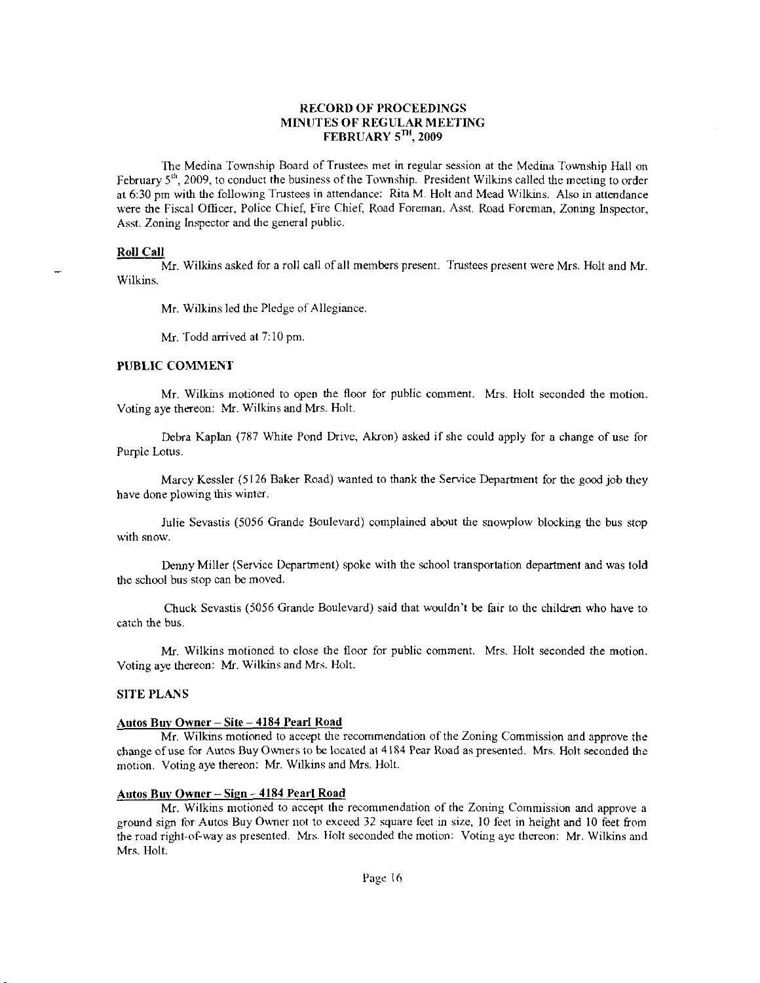# RECORD OF PROCEEDINGS MINUTES OF REGULAR MEETING FEBRUARY 5TH, 2009

The Medina Township Board of Trustees met in regular session at the Medina Township Hall on February  $5<sup>th</sup>$ , 2009, to conduct the business of the Township. President Wilkins called the meeting to order at 6:30 pm with the following Trustees in attendance: Rita M. Holt and Mead Wilkins. Also in attendance were the Fiscal Officer, Police Chief, Fire Chief, Road Foreman, Asst. Road Foreman, Zoning Inspector, Asst. Zoning lnspector and the general public.

#### **Roll Call**

Mr. Wilkins asked for a roll call of all members present. Trustees present were Mrs. Holt and Mr. Wilkins.

Mr. Wilkins led thc Pledge of Allegiance.

Mr. Todd arrived at 7:10 pm.

# PUBLIC COMMENT

Mr. Wilkins motioned to open the floor for public comment. Mrs. Holt seconded the motion. Voting aye thereon: Mr. Wilkins and Mrs. Holt.

Debra Kaplan (787 White Pond Drive, Akron) asked if she could apply for a change of use for Purple Lotus.

Marcy Kessler (5126 Baker Road) wanted to thank the Service Department for the good job they have done plowing this winter.

Julie Sevastis (5056 Grande Boulevard) complaincd about the snowplow blocking the bus stop with snow.

Denny Miller (Service Department) spoke with the school transportation department and was told the school bus stop can be moved.

Chuck Sevastis (5056 Grande Boulevard) said that wouldn't be fair to the chil&en who have to catch the bus.

Mr. Wilkins motioned to close the floor for public comment. Mrs. Holt seconded the motion. Voting aye thereon: Mr. Wilkins and Mrs- Holt.

# SITE PLANS

#### Autos Buy Owner - Site - 4184 Pearl Road

Mr. Wilkins motioned to accept the recommendation of the Zoning Commission and approve the change of use for Autos Buy Owners to be located at 4184 Pear Road as presented. Mrs. Holt seconded the motion. Voting aye thereon: Mr. Wilkins and Mrs. Holt.

# Autos Buy Owner - Sign - 4184 Pearl Road

Mr. Wilkins motioned to accept the recommendation of the Zoning Commission and approve a ground sign for Autos Buy Owner not to exceed 32 square feet in size, 10 feet in height and 10 feet from the road right-of-way as presented. Mrs. Holt seconded the motion: Voting aye thereon: Mr. Wilkins and Mrs. Holt.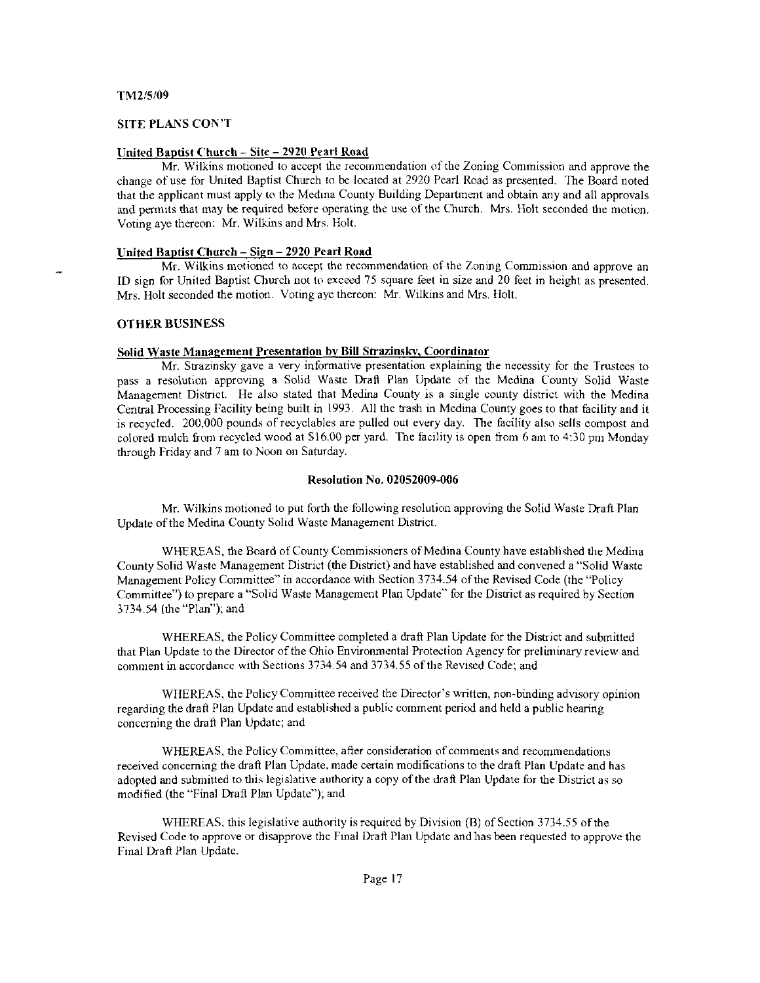# SITE PLANS CON'T

# United Baptist Church - Site - 2920 Pearl Road

Mr. Wilkins motioned to accept the recommendation of the Zoning Commission and approve the change of use for United Baptist Church to be located at 2920 Pearl Road as presented. The Board noted that the applicant must apply to the Medina County Building Department and obtain any and all approvals and permits that may be required before operating the use of the Church. Mrs. Holt seconded the motion. Voting aye thereon: Mr. Wilkins and Mrs. Holt.

## United Baptist Church - Sign - 2920 Pearl Road

Mr. Wilkins motioned to accept the recomnendation of the Zoning Commission and approve an ID sign for United Baptist Church not to exceed 75 square feel in size and 20 feet in height as presented. Mrs. Holt seconded the motion. Voting aye thereon: Mr. Wilkins and Mrs. Holt.

# OTHER BUSINESS

# Solid Waste Management Presentation by Bill Strazinsky. Coordinator

Mr. Strazinsky gave a very informative presentation explaining the necessity for the Trustees to pass a resolution approving a Solid Waste Draft Plan Update of the Medina County Soiid Waste Management Disrict. He also stated that Medina County is a single county district with the Medina Central Processing Facility being built in 1993. All the trash in Medina County goes to that facility and it is recycled. 200,000 pounds of recyclables are pulled out every day. The facility also sells compost and colored mulch from recycled wood at \$16.00 per yard. The facility is open from 6 am to 4:30 pm Monday through Friday and 7 am to Noon on Saturday.

# Resolution No. 02052009-006

Mr. Wilkins notioned to put forth the following resolution approving the Solid Waste Draft Plan Update of the Medina County Solid Waste Management District.

WHEREAS, the Board of County Commissioners of Medina County have established the Medina County Solid Waste Management District (the District) and have established and convened a "Solid Waste Management Policy Committee" in accordance with Section 3734.54 of the Revised Code (the "Policy Committee") to prepare a "Solid Waste Management Plan Update" for the District as required by Section 3734.54 (the "Plan"); and

WHEREAS, the Policy Committee completed a draft Plan Update for the District and submitted that Plan Update to the Director of the Ohio Environmental Protection Agency for preliminary review and comment in accordance with Sections 3734.54 and 3734.55 of the Revised Code; and

WIIEREAS, the Policy Committee received the Director's written, non-binding advisory opinion regarding the draft Plan Update and established a public comment period and held a public hearing concerning the drail Plan Update; and

WHEREAS, the Policy Committee, after consideration of comments and recommendations received concerning the draft Plan Update, made certain modifications to the draft Plan Update and has adopted and submitted to this legislative authority a copy of the draft Plan Update for the District as so modified (the "Final Draft Plan Update"): and

WHEREAS, this legislative authority is required by Division (B) of Section 3734.55 of the Revised Code to approve or disapprove the Final Draft Plan Update and has been requested to approve the Final Draft Plan Update.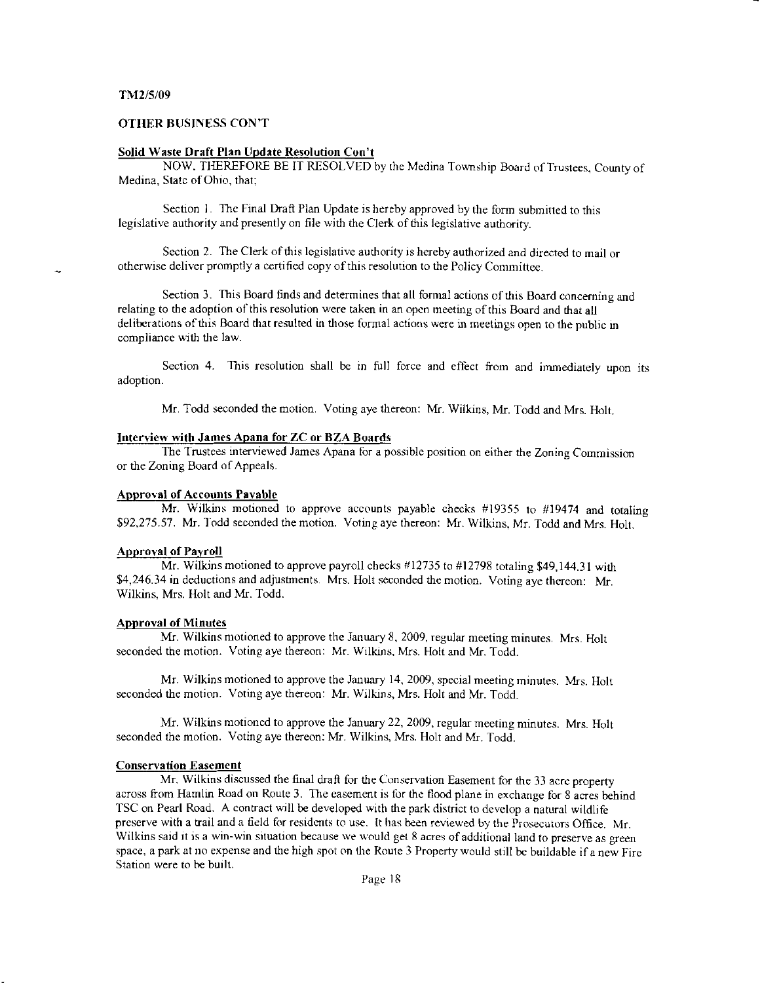# **OTHER BUSINESS CON'T**

#### Solid Waste Draft Plan Update Resolution Con't

NOW, THEREFORE BE IT RESOLVED by the Medina Township Board of Trustees, County of Medina, State of Ohio, that;

Section 1. The Final Draft Plan Update is hereby approved by the form submitted to this legislative authority and presently on file with the Clerk of this legislative authority.

Section 2. The Clerk of this legislative authority is hereby authorized and directed to mail or otherwise deliver promptly a certified copy of this resolution to the Policy Committee,

Section 3. This Board finds and determines that all formal actions of this Board concerning and relating to the adoption of this resolution were taken in an open meeting of this Board and that all deliberations of this Board that resulted in those formal actions were in meetings open to the public in compliance with the law.

Section 4. This resolution shall be in full force and effect from and immediately upon its adoption.

Mr. Todd seconded the motion. Voting aye thereon: Mr. Wilkins, Mr. Todd and Mrs. Holt.

## Interview with James Apana for ZC or BZA Boards

The Trustees interviewed James Apana for a possible position on either the Zoning Commission or the Zoning Board of Appeals.

# **Approval of Accounts Pavable**

Mr. Wilkins motioned to approve accounts payable checks #19355 to #19474 and totaling \$92,275.57. Mr. Todd seconded the motion. Voting aye thereon: Mr. Wilkins, Mr. Todd and Mrs. Holt.

#### **Approval of Payroll**

Mr. Wilkins motioned to approve payroll checks #12735 to #12798 totaling \$49,144.31 with \$4,246.34 in deductions and adjustments. Mrs. Holt seconded the motion. Voting ave thereon: Mr. Wilkins, Mrs. Holt and Mr. Todd.

#### **Approval of Minutes**

Mr. Wilkins motioned to approve the January 8, 2009, regular meeting minutes. Mrs. Holt seconded the motion. Voting aye thereon: Mr. Wilkins, Mrs. Holt and Mr. Todd.

Mr. Wilkins motioned to approve the January 14, 2009, special meeting minutes. Mrs. Holt seconded the motion. Voting aye thereon: Mr. Wilkins, Mrs. Holt and Mr. Todd.

Mr. Wilkins motioned to approve the January 22, 2009, regular meeting minutes. Mrs. Holt seconded the motion. Voting aye thereon: Mr. Wilkins, Mrs. Holt and Mr. Todd.

## **Conservation Easement**

Mr. Wilkins discussed the final draft for the Conservation Easement for the 33 acre property across from Hamlin Road on Route 3. The easement is for the flood plane in exchange for 8 acres behind TSC on Pearl Road. A contract will be developed with the park district to develop a natural wildlife preserve with a trail and a field for residents to use. It has been reviewed by the Prosecutors Office, Mr. Wilkins said it is a win-win situation because we would get 8 acres of additional land to preserve as green space, a park at no expense and the high spot on the Route 3 Property would still be buildable if a new Fire Station were to be built.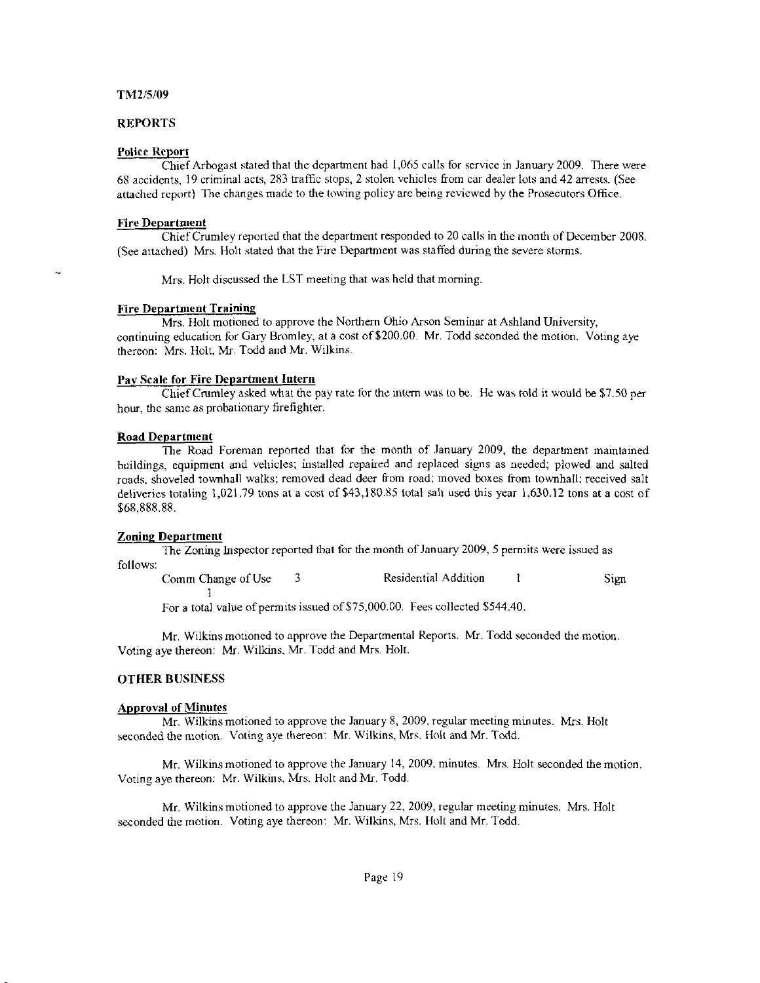# REPORTS

#### Police Report

Chief Arbogast stated that the departrnent bad 1,065 calls for service in January 2009. There were 68 accidents, 19 criminal acts, 283 traffic stops, 2 stolen vehicles from car dealer lots and 42 arrests. (See attached report) The changes made to the towing policy are being reviewed by the Prosecutors Office.

#### Fire Department

Chief Crumley reported that the department responded to 20 calls in the month of December 2008. (See attached) Mrs. Holt stated that the Fire Department was staffed during the severe storms.

Mrs. Holt discussed the LST meeting that was held that morning.

#### Fire Department Training

Mrs. Holt motioned to approve the Northern Ohio Arson Seminar at Ashland University, continuing education for Gary Bromley, at a cost of \$200.00. Mr. Todd seconded the motion. Voting aye thereon: Mrs. Holt, Mr. Todd and Mr. Wilkins.

#### Pay Scale for Fire Department Intern

I

ChiefCrumley asked what dre pay rate for the irtem was to be. He was told it would be \$7.50 per hour, the same as probationary firefighter.

## Road DeDartment

The Road Foreman reported that for the month of January 2009, the department maintained buildings, equipment and vehicles; installed repaircd and replaced sigps as needed; plowed and salted roads, shoveled townhall walks; removed dead deer from road; moved boxes from townhall; received salt deliveries totaling 1,021.79 tons at a cost of \$43,180.85 total salt used this year 1,630.12 tons at a cost of \$68.888.88.

#### Zoning Department

The Zoning Inspector reported that for the month of January 2009, 5 permits were issued as follows:

Comm Change of Use 3 Residential Addition 1 Sign

For a total value of permits issued of \$75,000.00. Fees collected \$544.40.

Mr. Wilkins motioned to approve the Departmental Reports. Mr. Todd seconded the motion. Voting aye thereon: Mr. Wilkins, Mr. Todd and Mrs. Holt.

# OTHER BUSTNESS

## Approval of Minutes

 $Mr.$  Wilkins motioned to approve the January 8, 2009, regular meeting minutes. Mrs. Holt seconded the motion. Voting aye thereon: Mr. Wilkins, Mrs. Holt and Mr. Todd.

Mr. Wilkins motioned to approve the January 14, 2009. minutes. Mrs. Holt seconded the motion. Voting aye thereon: Mr. Wilkins. Mrs. Ilolt and Mr. Todd.

Mr. Wilkins motioned to approve the January 22, 2009, regular meeting minutes. Mrs. Holt seconded the motion. Voting aye thereon: Mr. Wilkins, Mrs. Holt and Mr. Todd.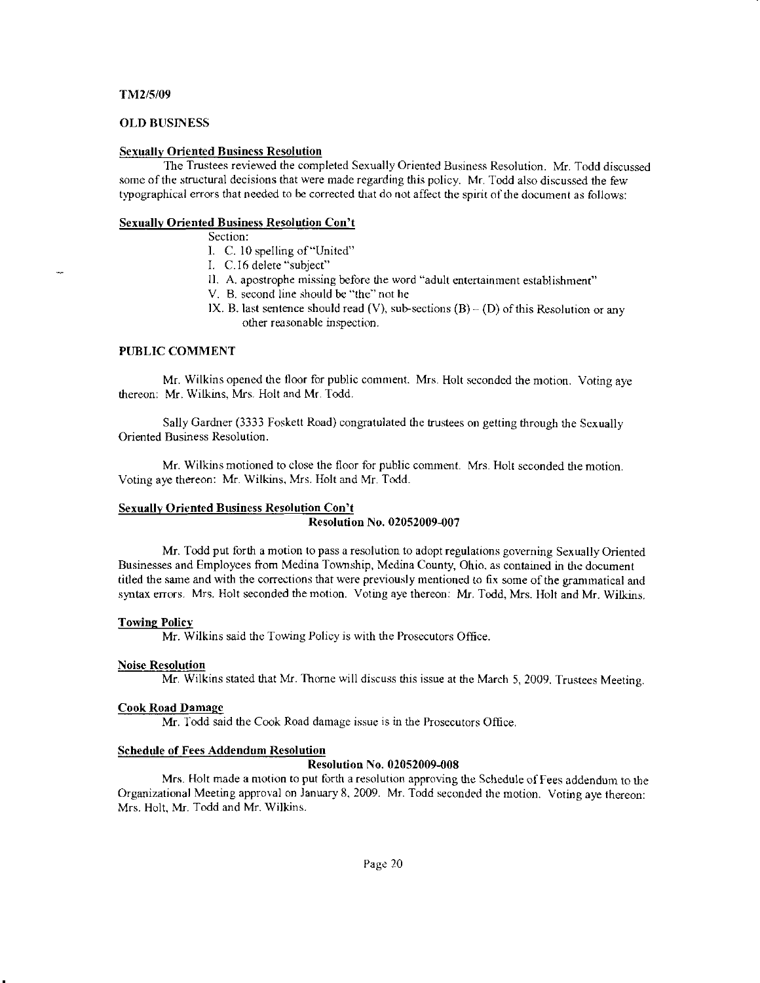# **OLD BUSINESS**

# **Sexually Oriented Business Resolution**

The Trustees reviewed the completed Sexually Oriented Business Resolution, Mr. Todd discussed some of the structural decisions that were made regarding this policy. Mr. Todd also discussed the few typographical errors that needed to be corrected that do not affect the spirit of the document as follows:

#### **Sexually Oriented Business Resolution Con't**

Section:

- I. C. 10 spelling of "United"
- I. C.16 delete "subject"
- II. A. apostrophe missing before the word "adult entertainment establishment"
- V. B. second line should be "the" not he
- IX. B. last sentence should read (V), sub-sections  $(B) (D)$  of this Resolution or any other reasonable inspection.

#### PUBLIC COMMENT

Mr. Wilkins opened the floor for public comment. Mrs. Holt seconded the motion. Voting ave thereon: Mr. Wilkins, Mrs. Holt and Mr. Todd.

Sally Gardner (3333 Foskett Road) congratulated the trustees on getting through the Sexually Oriented Business Resolution.

Mr. Wilkins motioned to close the floor for public comment. Mrs. Holt seconded the motion. Voting aye thereon: Mr. Wilkins, Mrs. Holt and Mr. Todd.

#### **Sexually Oriented Business Resolution Con't**

#### **Resolution No. 02052009-007**

Mr. Todd put forth a motion to pass a resolution to adopt regulations governing Sexually Oriented Businesses and Employees from Medina Township, Medina County, Ohio, as contained in the document titled the same and with the corrections that were previously mentioned to fix some of the grammatical and syntax errors. Mrs. Holt seconded the motion. Voting aye thereon: Mr. Todd, Mrs. Holt and Mr. Wilkins.

#### **Towing Policy**

Mr. Wilkins said the Towing Policy is with the Prosecutors Office.

## **Noise Resolution**

Mr. Wilkins stated that Mr. Thorne will discuss this issue at the March 5, 2009. Trustees Meeting.

#### **Cook Road Damage**

Mr. Todd said the Cook Road damage issue is in the Prosecutors Office.

#### **Schedule of Fees Addendum Resolution**

#### **Resolution No. 02052009-008**

Mrs. Holt made a motion to put forth a resolution approving the Schedule of Fees addendum to the Organizational Meeting approval on January 8, 2009. Mr. Todd seconded the motion. Voting aye thereon: Mrs. Holt, Mr. Todd and Mr. Wilkins.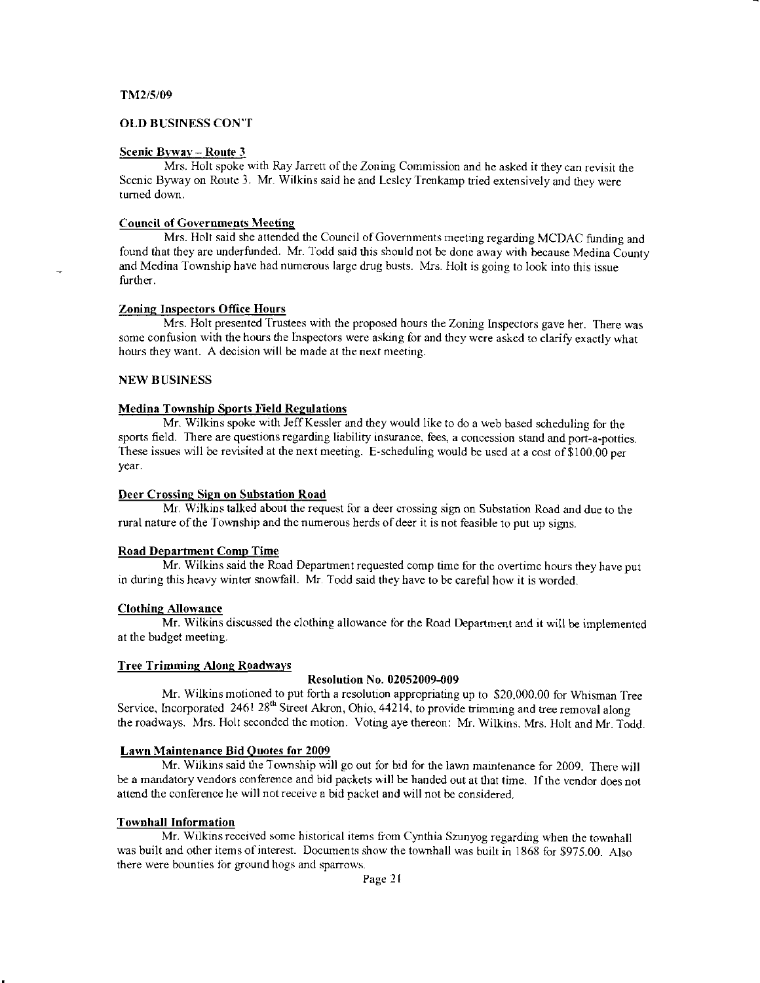# OLD BUSINESS CON''I

# Scenic Byway -- Route 3

Mrs. Holt spoke with Ray Jarrett of the Zoning Commission and he asked it they can revisit the Scenic Byway on Route 3. Mr. Wilkins said he and Lesley Trenkamp tried extensively and they were tumed down.

#### Council of Governments Meeting

Mrs. Holt said she attended the Council of Governments meeting regarding MCDAC funding and found that they are underfunded. Mr. Todd said this should not be done away with because Medina County and Medina Township have had numerous large drug busts. Mrs. Holt is going to look into this issue further.

## Zoning Inspectors Office Hours

Mrs. Holt presented Trustees with the proposed hours the Zoning Inspectors gave her. There was some confusion with the hours the Inspectors were asking for and they were asked to clarify exactly what hours they want. A decision will be made at the next meeting.

#### NEW BUSINESS

#### **Medina Township Sports Field Regulations**

Mr. Wilkins spoke with JeffKessler and they would like to do a web based scheduling for the sports field. There are questions regarding liability insurance, fees, a concession stand and port-a-potties. These issues will be revisited at the next meeting. E-scheduling would be used at a cost of \$100.00 per yeaf.

# Deer Crossing Sign on Substation Road

Mr. Wilkins talked about the request for a deer crossing sign on Substation Road and due to the rural nature of the Township and the numerous herds of deer it is not feasible to put up signs.

#### Road Department Comp Time

Mr. Wilkins said the Road Department requested comp time for the overtime hours they have put in during this heavy winter snowfall. Mr. Todd said they have to be careful how it is worded.

#### Clothinq Allowance

Mr. Wilkins discussed the clothing allowance for the Road Department and it will be implemented at the budget meeting.

#### Tree Trimming Along Roadways

#### Resolution No. 02052009-009

Mr. Wilkins motioned to put forth a resolution appropriating up to \$20,000.00 for Whisman Tree Service, Incorporated 2461 28<sup>th</sup> Street Akron, Ohio, 44214, to provide trimming and tree removal along the roadways. Mrs. Holt seconded fie motion. Voting aye thereon: Mr. Wilkins. Mrs. Holt and Mr. Todd.

#### Lawn Maintenance Bid Quotes for 2009

Mr. Wilkins said the Township will go out for bid for the lawn maintenance for 2009. There will be a mandatory vendors conference and bid packets will be handed out at that time. If the vendor does not attend the conference he will not receive a bid packet and will not be considered.

# Townhall Information

Mr. Wilkins received some historical items from Cynthia Szunyog regarding when the townhall was built and other items of interest. Documents show the townhall was built in 1868 for \$975.00. Also there were bounties for ground hogs and sparrows.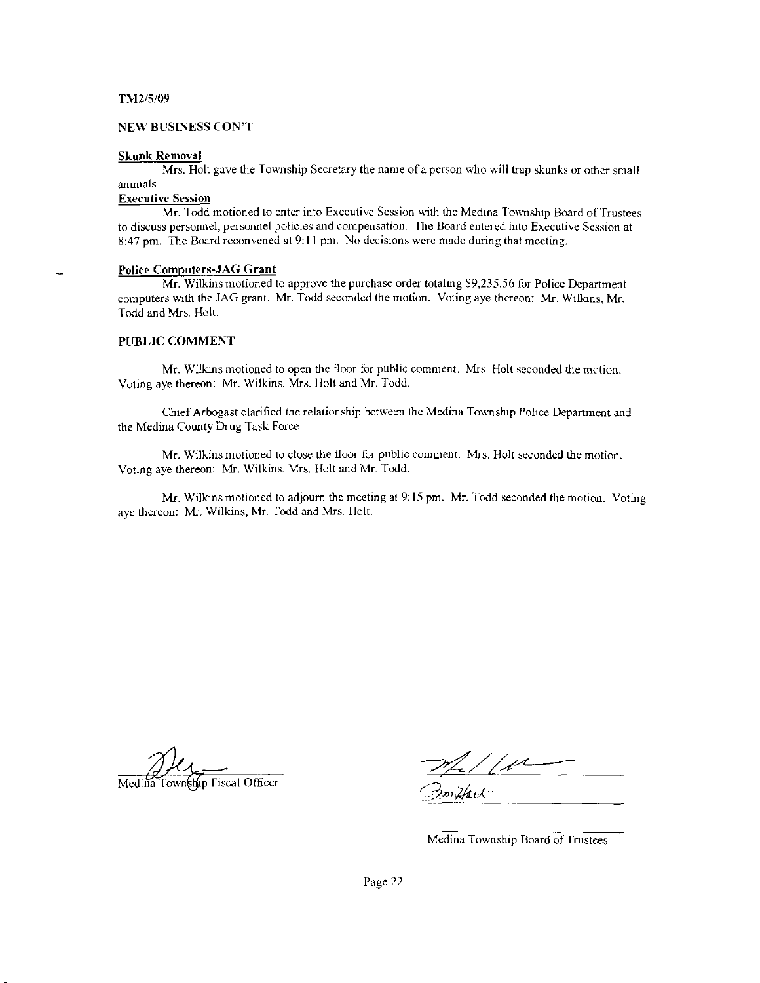#### NEW BUSINESS CON'T

#### Skunk Removal

Mrs. Holt gave the Township Secretary the name ofa pcrson who will trap skunks or other small antmals-

# Executive Session

Mr. Todd motioned to enter into Executive Session with the Medina Township Board of Trustees to discuss personnel, personnel policies and compensation- The Board entered into Executive Session at 8:47 pm. The Board reconvened at 9:11 pm. No decisions were made during that meeting.

#### Police Computers-JAG Grant

Mr. Wilkins motioned to approve the purchase order totaling \$9,235.56 for Police Department computers with the JAG grant. Mr. Todd seconded the motion. Voting aye thereon: Mr. Wilkins, Mr. Todd and Mrs. Holt.

# PUBLIC COMMENT

Mr. Wilkins motioned to open the floor for public comment. Mrs. Holt seconded the motion. Voting aye thereon: Mr. Wilkins, Mrs. Holt and Mr. Todd.

Chief Arbogast clarified the relationship between the Medina Township Police Department and the Medina County Drug Task Force.

Mr. Wilkins motioned to close the floor for public comnent. Mrs. Holt seconded the motion. Voting aye thereon: Mr. Wilkins, Mrs. Holt and Mr. Todd.

Mr. Wilkins motioned to adjourn the meeting at  $9:15$  pm. Mr. Todd seconded the motion. Voting aye thereon: Mr. Wilkins, Mr. Todd and Mrs. Holt.

Hip Fiscal Officer

 $Z$ ndfack

Medina Township Board of Trustees

Page 22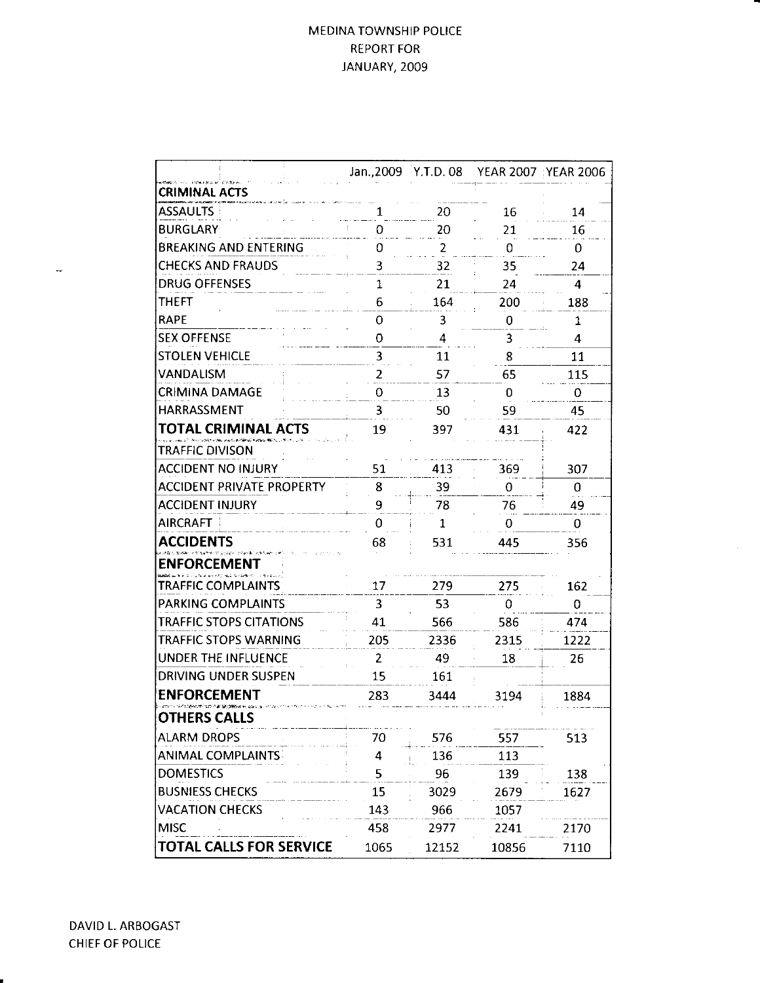# MEDINA TOWNSHIP POLICE REPORT FOR JANUARY, 2OO9

|                                  |      | Jan., 2009 Y.T.D. 08 |       | YEAR 2007 : YEAR 2006 |
|----------------------------------|------|----------------------|-------|-----------------------|
| <b>CRIMINAL ACTS</b>             |      |                      |       |                       |
| <b>ASSAULTS</b>                  | 1    | 20                   | 16    | 14                    |
| <b>BURGLARY</b>                  | Ω    | 20                   | 21    | 16                    |
| <b>BREAKING AND ENTERING</b>     | 0    | 2                    | 0     | 0                     |
| <b>CHECKS AND FRAUDS</b>         | 3    | 32                   | 35    | 24                    |
| <b>DRUG OFFENSES</b>             | 1    | 21                   | 24    | 4                     |
| <b>THEFT</b>                     | 6    | 164                  | 200   | 188                   |
| <b>RAPE</b>                      | 0    | 3                    | 0     | 1                     |
| <b>SEX OFFENSE</b>               | 0    | 4                    | 3     | 4                     |
| <b>STOLEN VEHICLE</b>            | 3    | 11                   | 8     | 11                    |
| VANDALISM                        | 2    | 57                   | 65    | 115                   |
| <b>CRIMINA DAMAGE</b>            | 0    | 13                   | 0     | 0                     |
| HARRASSMENT                      | 3    | 50                   | 59    | 45                    |
| TOTAL CRIMINAL ACTS              | 19   | 397                  | 431   | 422                   |
| TRAFFIC DIVISON                  |      |                      |       |                       |
| ACCIDENT NO INJURY               | 51   | 413                  | 369   | 307                   |
| <b>ACCIDENT PRIVATE PROPERTY</b> | 8    | 39                   | 0     | 0                     |
| <b>ACCIDENT INJURY</b>           | 9    | 78                   | 76    | 49                    |
| AIRCRAFT                         | 0    | 1                    | 0     | 0                     |
| <b>ACCIDENTS</b>                 | 68   | 531                  | 445   | 356                   |
| <b>ENFORCEMENT</b>               |      |                      |       |                       |
| <b>TRAFFIC COMPLAINTS</b>        | 17   | 279                  | 275   | 162                   |
| <b>PARKING COMPLAINTS</b>        | 3    | 53                   | 0     | 0                     |
| <b>TRAFFIC STOPS CITATIONS</b>   | 41   | 566                  | 586   | 474                   |
| TRAFFIC STOPS WARNING            | 205  | 2336                 | 2315  | 1222                  |
| UNDER THE INFLUENCE              | 2    | 49                   | 18    | 26                    |
| <b>DRIVING UNDER SUSPEN</b>      | 15   | 161                  |       |                       |
| <b>ENFORCEMENT</b>               | 283  | 3444                 | 3194  | 1884                  |
| <b>OTHERS CALLS</b>              |      |                      |       |                       |
| <b>ALARM DROPS</b>               | 70   | 576                  | 557   | 513                   |
| <b>ANIMAL COMPLAINTS</b>         | 4    | 136                  | 113   |                       |
| <b>DOMESTICS</b>                 | 5    | 96                   | 139   | 138                   |
| <b>BUSNIESS CHECKS</b>           | 15   | 3029                 | 2679  | 1627                  |
| <b>VACATION CHECKS</b>           | 143  | 966                  | 1057  |                       |
| <b>MISC</b>                      | 458  | 2977                 | 2241  | 2170                  |
| <b>TOTAL CALLS FOR SERVICE</b>   | 1065 | 12152                | 10856 | 7110                  |

 $\mathcal{L}_{\mathcal{B}}$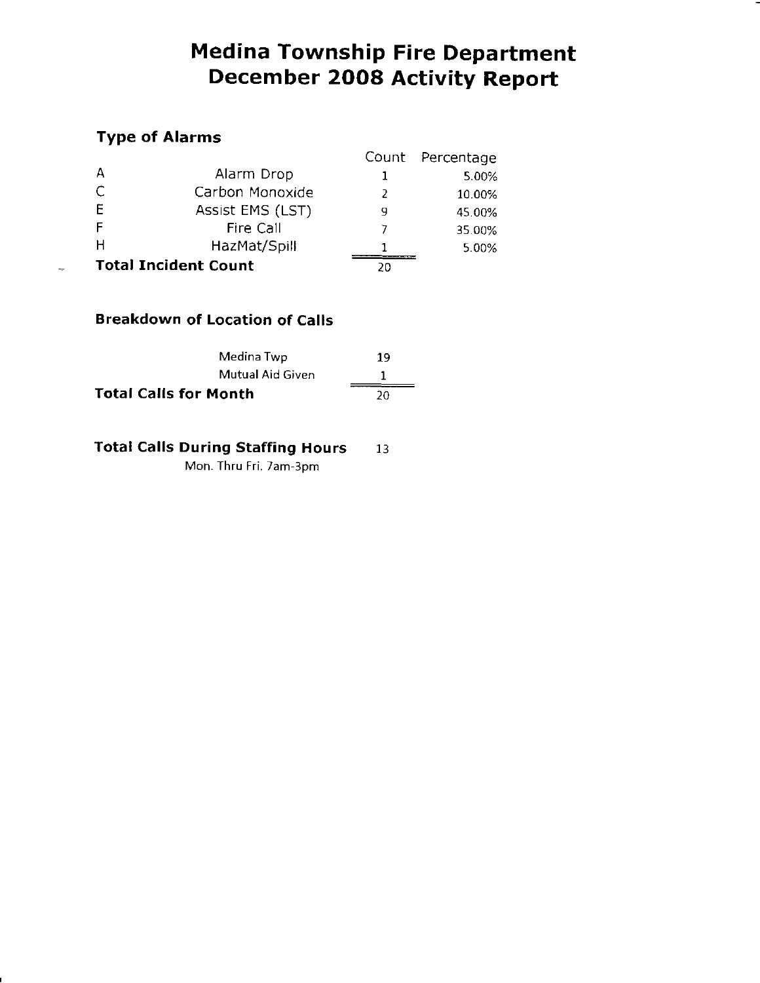# Medina Township Fire Department December 2OO8 Activity Report

# Type of Alarms

|                             |    | Count Percentage |
|-----------------------------|----|------------------|
| А<br>Alarm Drop             |    | 5.00%            |
| С<br>Carbon Monoxide        |    | 10.00%           |
| E<br>Assist EMS (LST)       | 9  | 45.00%           |
| F<br>Fire Call              |    | 35.00%           |
| н<br>HazMat/Spill           |    | 5.00%            |
| <b>Total Incident Count</b> | 20 |                  |

# Breakdown of Location of Calls

| Medina Twp                   | 19 |
|------------------------------|----|
| Mutual Aid Given             |    |
| <b>Total Calls for Month</b> | 20 |

Total Calls During Staffing Hours 13

Mon. Thru Fri. 7am-3om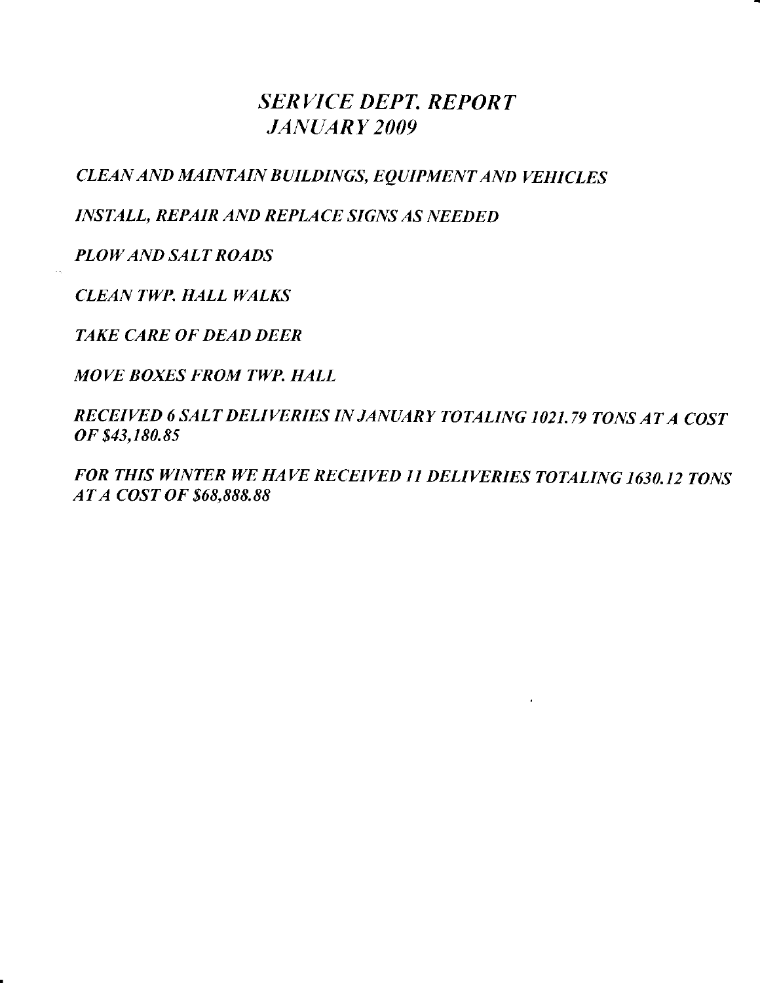# SERVICE DEPT. REPORT JANUARY 2OO9

CLEAN AND MAINTAIN BUILDINGS, EQUIPMENT AND VEHICLES

INSTALL, REPAIR AND REPLACE SIGNS AS NEEDED

PLOW AND SALT ROADS

**CLEAN TWP. HALL WALKS** 

TAKE CARE OF DEAD DEER

MOVE BOXES FROM TWP. HALL

RECEIVED 6 SALT DELIVERIES IN JANUARY TOTALING 1021.79 TONS AT A COST oF \$43,180.85

FOR THIS WINTER WE HAVE RECEIVED 11 DELIVERIES TOTALING 1630,12 TONS AT A COST OF 868.888.88